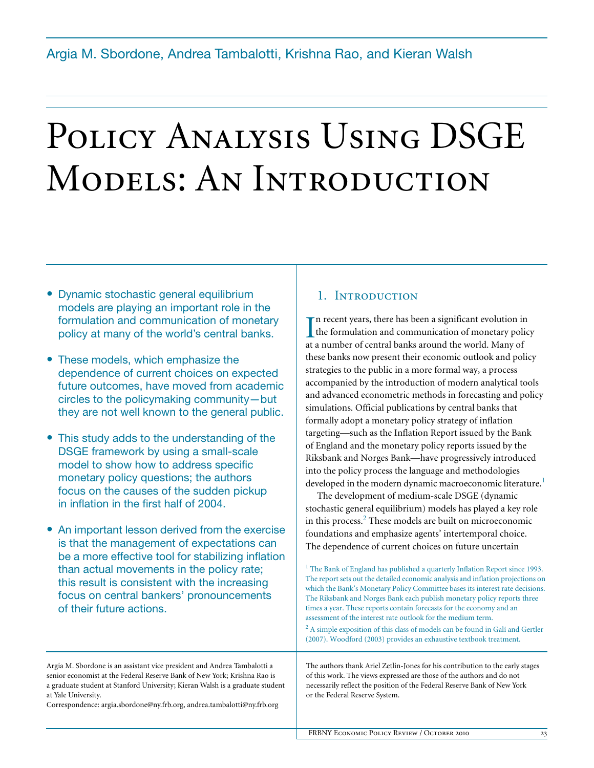# POLICY ANALYSIS USING DSGE MODELS: AN INTRODUCTION

- Dynamic stochastic general equilibrium models are playing an important role in the formulation and communication of monetary policy at many of the world's central banks.
- These models, which emphasize the dependence of current choices on expected future outcomes, have moved from academic circles to the policymaking community—but they are not well known to the general public.
- This study adds to the understanding of the DSGE framework by using a small-scale model to show how to address specific monetary policy questions; the authors focus on the causes of the sudden pickup in inflation in the first half of 2004.
- An important lesson derived from the exercise is that the management of expectations can be a more effective tool for stabilizing inflation than actual movements in the policy rate; this result is consistent with the increasing focus on central bankers' pronouncements of their future actions.

Correspondence: argia.sbordone@ny.frb.org, andrea.tambalotti@ny.frb.org

## 1. INTRODUCTION

n recent years, there has been a significant evolution in In recent years, there has been a significant evolution in<br>the formulation and communication of monetary policy<br>at a number of central banks around the world. Many of at a number of central banks around the world. Many of these banks now present their economic outlook and policy strategies to the public in a more formal way, a process accompanied by the introduction of modern analytical tools and advanced econometric methods in forecasting and policy simulations. Official publications by central banks that formally adopt a monetary policy strategy of inflation targeting—such as the Inflation Report issued by the Bank of England and the monetary policy reports issued by the Riksbank and Norges Bank—have progressively introduced into the policy process the language and methodologies developed in the modern dynamic macroeconomic literature.<sup>1</sup>

The development of medium-scale DSGE (dynamic stochastic general equilibrium) models has played a key role in this process.<sup>2</sup> These models are built on microeconomic foundations and emphasize agents' intertemporal choice. The dependence of current choices on future uncertain

<sup>1</sup> The Bank of England has published a quarterly Inflation Report since 1993. The report sets out the detailed economic analysis and inflation projections on which the Bank's Monetary Policy Committee bases its interest rate decisions. The Riksbank and Norges Bank each publish monetary policy reports three times a year. These reports contain forecasts for the economy and an assessment of the interest rate outlook for the medium term.

 $2A$  simple exposition of this class of models can be found in Galí and Gertler (2007). Woodford (2003) provides an exhaustive textbook treatment.

The authors thank Ariel Zetlin-Jones for his contribution to the early stages of this work. The views expressed are those of the authors and do not necessarily reflect the position of the Federal Reserve Bank of New York or the Federal Reserve System.

Argia M. Sbordone is an assistant vice president and Andrea Tambalotti a senior economist at the Federal Reserve Bank of New York; Krishna Rao is a graduate student at Stanford University; Kieran Walsh is a graduate student at Yale University.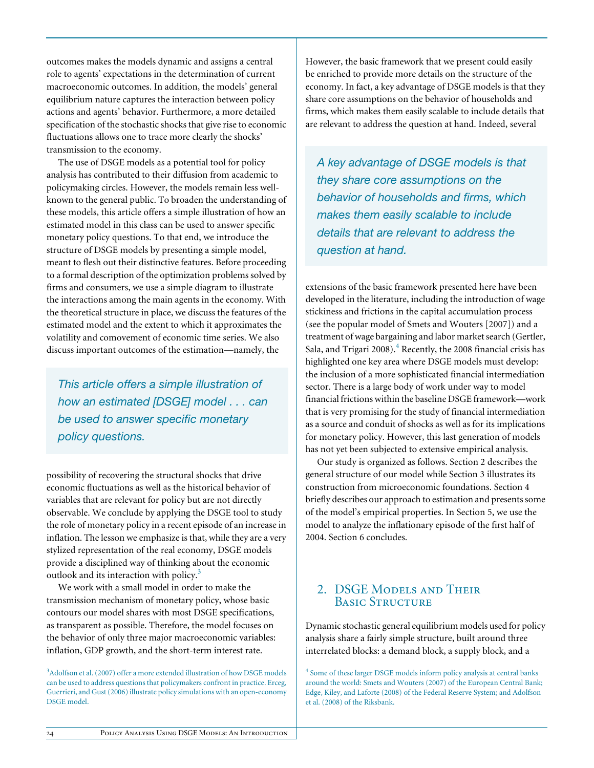outcomes makes the models dynamic and assigns a central role to agents' expectations in the determination of current macroeconomic outcomes. In addition, the models' general equilibrium nature captures the interaction between policy actions and agents' behavior. Furthermore, a more detailed specification of the stochastic shocks that give rise to economic fluctuations allows one to trace more clearly the shocks' transmission to the economy.

The use of DSGE models as a potential tool for policy analysis has contributed to their diffusion from academic to policymaking circles. However, the models remain less wellknown to the general public. To broaden the understanding of these models, this article offers a simple illustration of how an estimated model in this class can be used to answer specific monetary policy questions. To that end, we introduce the structure of DSGE models by presenting a simple model, meant to flesh out their distinctive features. Before proceeding to a formal description of the optimization problems solved by firms and consumers, we use a simple diagram to illustrate the interactions among the main agents in the economy. With the theoretical structure in place, we discuss the features of the estimated model and the extent to which it approximates the volatility and comovement of economic time series. We also discuss important outcomes of the estimation—namely, the

*This article offers a simple illustration of how an estimated [DSGE] model . . . can be used to answer specific monetary policy questions.* 

possibility of recovering the structural shocks that drive economic fluctuations as well as the historical behavior of variables that are relevant for policy but are not directly observable. We conclude by applying the DSGE tool to study the role of monetary policy in a recent episode of an increase in inflation. The lesson we emphasize is that, while they are a very stylized representation of the real economy, DSGE models provide a disciplined way of thinking about the economic outlook and its interaction with policy.<sup>3</sup>

We work with a small model in order to make the transmission mechanism of monetary policy, whose basic contours our model shares with most DSGE specifications, as transparent as possible. Therefore, the model focuses on the behavior of only three major macroeconomic variables: inflation, GDP growth, and the short-term interest rate.

<sup>3</sup>Adolfson et al. (2007) offer a more extended illustration of how DSGE models can be used to address questions that policymakers confront in practice. Erceg, Guerrieri, and Gust (2006) illustrate policy simulations with an open-economy DSGE model.

However, the basic framework that we present could easily be enriched to provide more details on the structure of the economy. In fact, a key advantage of DSGE models is that they share core assumptions on the behavior of households and firms, which makes them easily scalable to include details that are relevant to address the question at hand. Indeed, several

*A key advantage of DSGE models is that they share core assumptions on the behavior of households and firms, which makes them easily scalable to include details that are relevant to address the question at hand.*

extensions of the basic framework presented here have been developed in the literature, including the introduction of wage stickiness and frictions in the capital accumulation process (see the popular model of Smets and Wouters [2007]) and a treatment of wage bargaining and labor market search (Gertler, Sala, and Trigari 2008). $^{4}$  Recently, the 2008 financial crisis has highlighted one key area where DSGE models must develop: the inclusion of a more sophisticated financial intermediation sector. There is a large body of work under way to model financial frictions within the baseline DSGE framework—work that is very promising for the study of financial intermediation as a source and conduit of shocks as well as for its implications for monetary policy. However, this last generation of models has not yet been subjected to extensive empirical analysis.

Our study is organized as follows. Section 2 describes the general structure of our model while Section 3 illustrates its construction from microeconomic foundations. Section 4 briefly describes our approach to estimation and presents some of the model's empirical properties. In Section 5, we use the model to analyze the inflationary episode of the first half of 2004. Section 6 concludes.

## 2. DSGE Models and Their BASIC STRUCTURE

Dynamic stochastic general equilibrium models used for policy analysis share a fairly simple structure, built around three interrelated blocks: a demand block, a supply block, and a

<sup>4</sup> Some of these larger DSGE models inform policy analysis at central banks around the world: Smets and Wouters (2007) of the European Central Bank; Edge, Kiley, and Laforte (2008) of the Federal Reserve System; and Adolfson et al. (2008) of the Riksbank.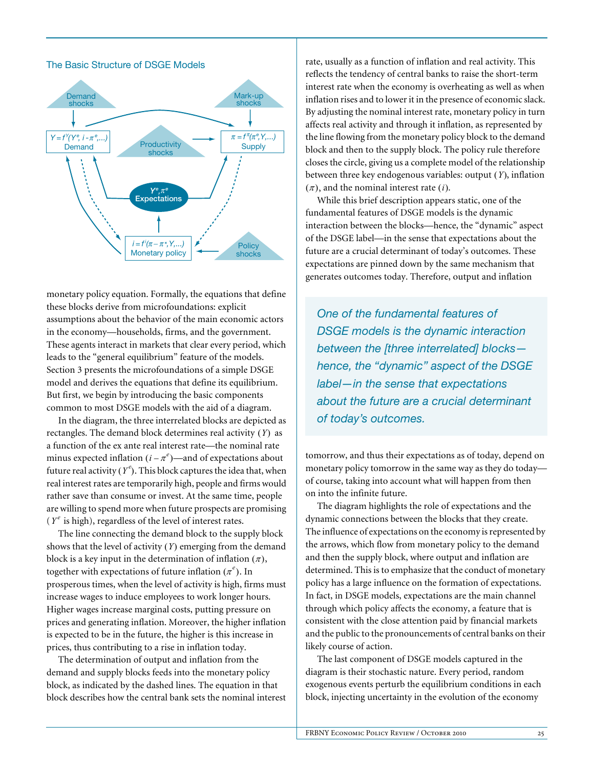

monetary policy equation. Formally, the equations that define these blocks derive from microfoundations: explicit assumptions about the behavior of the main economic actors in the economy—households, firms, and the government. These agents interact in markets that clear every period, which leads to the "general equilibrium" feature of the models. Section 3 presents the microfoundations of a simple DSGE model and derives the equations that define its equilibrium. But first, we begin by introducing the basic components common to most DSGE models with the aid of a diagram.

In the diagram, the three interrelated blocks are depicted as rectangles. The demand block determines real activity (Y) as a function of the ex ante real interest rate—the nominal rate minus expected inflation  $(i - \pi^e)$ —and of expectations about future real activity  $(Y^e)$ . This block captures the idea that, when real interest rates are temporarily high, people and firms would rather save than consume or invest. At the same time, people are willing to spend more when future prospects are promising  $(Y^e$  is high), regardless of the level of interest rates.

The line connecting the demand block to the supply block shows that the level of activity  $(Y)$  emerging from the demand block is a key input in the determination of inflation  $(\pi)$ , together with expectations of future inflation  $(\pi^e)$ . In prosperous times, when the level of activity is high, firms must increase wages to induce employees to work longer hours. Higher wages increase marginal costs, putting pressure on prices and generating inflation. Moreover, the higher inflation is expected to be in the future, the higher is this increase in prices, thus contributing to a rise in inflation today.

The determination of output and inflation from the demand and supply blocks feeds into the monetary policy block, as indicated by the dashed lines. The equation in that block describes how the central bank sets the nominal interest rate, usually as a function of inflation and real activity. This reflects the tendency of central banks to raise the short-term interest rate when the economy is overheating as well as when inflation rises and to lower it in the presence of economic slack. By adjusting the nominal interest rate, monetary policy in turn affects real activity and through it inflation, as represented by the line flowing from the monetary policy block to the demand block and then to the supply block. The policy rule therefore closes the circle, giving us a complete model of the relationship between three key endogenous variables: output (Y), inflation  $(\pi)$ , and the nominal interest rate (*i*).

While this brief description appears static, one of the fundamental features of DSGE models is the dynamic interaction between the blocks—hence, the "dynamic" aspect of the DSGE label—in the sense that expectations about the future are a crucial determinant of today's outcomes. These expectations are pinned down by the same mechanism that generates outcomes today. Therefore, output and inflation

*One of the fundamental features of DSGE models is the dynamic interaction between the [three interrelated] blocks hence, the "dynamic" aspect of the DSGE label—in the sense that expectations about the future are a crucial determinant of today's outcomes.*

tomorrow, and thus their expectations as of today, depend on monetary policy tomorrow in the same way as they do today of course, taking into account what will happen from then on into the infinite future.

The diagram highlights the role of expectations and the dynamic connections between the blocks that they create. The influence of expectations on the economy is represented by the arrows, which flow from monetary policy to the demand and then the supply block, where output and inflation are determined. This is to emphasize that the conduct of monetary policy has a large influence on the formation of expectations. In fact, in DSGE models, expectations are the main channel through which policy affects the economy, a feature that is consistent with the close attention paid by financial markets and the public to the pronouncements of central banks on their likely course of action.

The last component of DSGE models captured in the diagram is their stochastic nature. Every period, random exogenous events perturb the equilibrium conditions in each block, injecting uncertainty in the evolution of the economy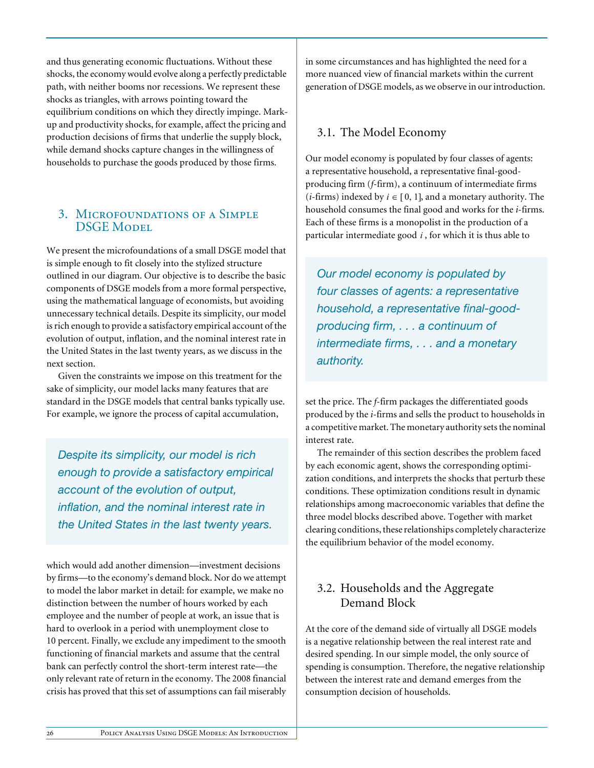and thus generating economic fluctuations. Without these shocks, the economy would evolve along a perfectly predictable path, with neither booms nor recessions. We represent these shocks as triangles, with arrows pointing toward the equilibrium conditions on which they directly impinge. Markup and productivity shocks, for example, affect the pricing and production decisions of firms that underlie the supply block, while demand shocks capture changes in the willingness of households to purchase the goods produced by those firms.

## 3. Microfoundations of a Simple DSGE MODEL

We present the microfoundations of a small DSGE model that is simple enough to fit closely into the stylized structure outlined in our diagram. Our objective is to describe the basic components of DSGE models from a more formal perspective, using the mathematical language of economists, but avoiding unnecessary technical details. Despite its simplicity, our model is rich enough to provide a satisfactory empirical account of the evolution of output, inflation, and the nominal interest rate in the United States in the last twenty years, as we discuss in the next section.

Given the constraints we impose on this treatment for the sake of simplicity, our model lacks many features that are standard in the DSGE models that central banks typically use. For example, we ignore the process of capital accumulation,

*Despite its simplicity, our model is rich enough to provide a satisfactory empirical account of the evolution of output, inflation, and the nominal interest rate in the United States in the last twenty years.* 

which would add another dimension—investment decisions by firms—to the economy's demand block. Nor do we attempt to model the labor market in detail: for example, we make no distinction between the number of hours worked by each employee and the number of people at work, an issue that is hard to overlook in a period with unemployment close to 10 percent. Finally, we exclude any impediment to the smooth functioning of financial markets and assume that the central bank can perfectly control the short-term interest rate—the only relevant rate of return in the economy. The 2008 financial crisis has proved that this set of assumptions can fail miserably

in some circumstances and has highlighted the need for a more nuanced view of financial markets within the current generation of DSGE models, as we observe in our introduction.

# 3.1. The Model Economy

Our model economy is populated by four classes of agents: a representative household, a representative final-goodproducing firm (*f*-firm), a continuum of intermediate firms  $(i$ -firms) indexed by  $i \in [0, 1]$ , and a monetary authority. The household consumes the final good and works for the *i*-firms. Each of these firms is a monopolist in the production of a particular intermediate good *i*, for which it is thus able to

*Our model economy is populated by four classes of agents: a representative household, a representative final-goodproducing firm, . . . a continuum of intermediate firms, . . . and a monetary authority.*

set the price. The *f*-firm packages the differentiated goods produced by the *i*-firms and sells the product to households in a competitive market. The monetary authority sets the nominal interest rate.

The remainder of this section describes the problem faced by each economic agent, shows the corresponding optimization conditions, and interprets the shocks that perturb these conditions. These optimization conditions result in dynamic relationships among macroeconomic variables that define the three model blocks described above. Together with market clearing conditions, these relationships completely characterize the equilibrium behavior of the model economy.

# 3.2. Households and the Aggregate Demand Block

At the core of the demand side of virtually all DSGE models is a negative relationship between the real interest rate and desired spending. In our simple model, the only source of spending is consumption. Therefore, the negative relationship between the interest rate and demand emerges from the consumption decision of households.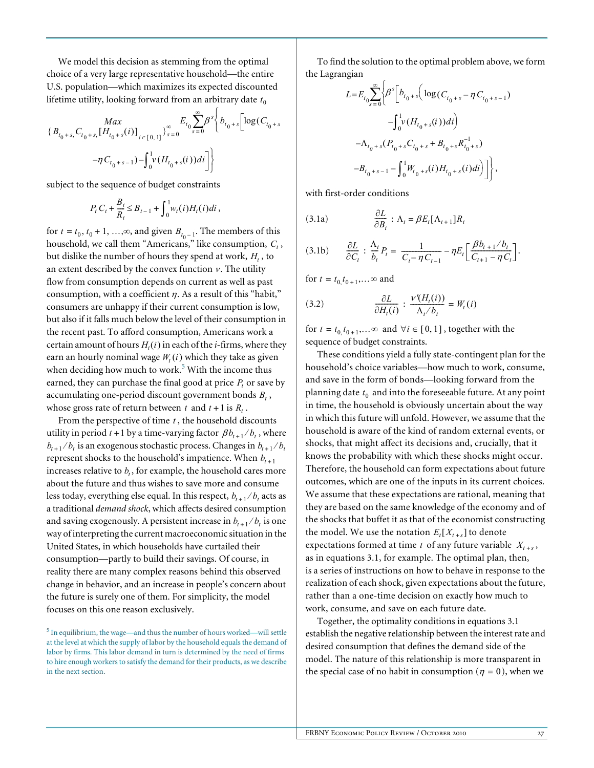We model this decision as stemming from the optimal choice of a very large representative household—the entire U.S. population—which maximizes its expected discounted lifetime utility, looking forward from an arbitrary date  $t_0$ 

$$
\left\{ B_{t_0+s, C_{t_0+s, [H_{t_0+s}(i)]} \atop -\eta C_{t_0+s-1}) - \int_0^1 v(H_{t_0+s}(i))di \right\}
$$

subject to the sequence of budget constraints

$$
P_t C_t + \frac{B_t}{R_t} \leq B_{t-1} + \int_0^1 w_t(i) H_t(i) di,
$$

for  $t = t_0, t_0 + 1, \ldots, \infty$ , and given  $B_{t_0-1}$ . The members of this household, we call them "Americans," like consumption,  $C_t$ , but dislike the number of hours they spend at work,  $H_t$  , to an extent described by the convex function  $\nu$ . The utility flow from consumption depends on current as well as past consumption, with a coefficient  $\eta$ . As a result of this "habit," consumers are unhappy if their current consumption is low, but also if it falls much below the level of their consumption in the recent past. To afford consumption, Americans work a certain amount of hours  $H_t(i)$  in each of the *i*-firms, where they earn an hourly nominal wage  $W_t(i)$  which they take as given when deciding how much to work. $5$  With the income thus earned, they can purchase the final good at price  $P_t$  or save by accumulating one-period discount government bonds  $B_t$ , whose gross rate of return between  $t$  and  $t + 1$  is  $R_t$ .

From the perspective of time  $t$ , the household discounts utility in period  $t + 1$  by a time-varying factor  $\beta b_{t+1}/b_t$ , where  $b_{t+1}/b_t$  is an exogenous stochastic process. Changes in  $b_{t+1}/b_t$ represent shocks to the household's impatience. When  $b_{t+1}$ increases relative to  $b_t$ , for example, the household cares more about the future and thus wishes to save more and consume less today, everything else equal. In this respect,  $b_{t+1}/b_t$  acts as a traditional *demand shock*, which affects desired consumption and saving exogenously. A persistent increase in  $b_{t+1}/b_t$  is one way of interpreting the current macroeconomic situation in the United States, in which households have curtailed their consumption—partly to build their savings. Of course, in reality there are many complex reasons behind this observed change in behavior, and an increase in people's concern about the future is surely one of them. For simplicity, the model focuses on this one reason exclusively.

 $<sup>5</sup>$  In equilibrium, the wage—and thus the number of hours worked—will settle</sup> at the level at which the supply of labor by the household equals the demand of labor by firms. This labor demand in turn is determined by the need of firms to hire enough workers to satisfy the demand for their products, as we describe in the next section.

To find the solution to the optimal problem above, we form the Lagrangian

$$
L = E_{t_0} \sum_{s=0}^{\infty} \left\{ \beta^s \left[ b_{t_0+s} \left( \log (C_{t_0+s} - \eta C_{t_0+s-1}) \right) \right. \\ \left. - \int_0^1 v (H_{t_0+s}(i)) \, di \right) \\ \left. - \Lambda_{t_0+s} (P_{t_0+s} C_{t_0+s} + B_{t_0+s} R_{t_0+s}^{-1}) \right. \\ \left. - B_{t_0+s-1} - \int_0^1 W_{t_0+s}(i) H_{t_0+s}(i) \, di \right) \right] \right\},
$$

with first-order conditions

(3.1a) 
$$
\frac{\partial L}{\partial B_t} : \Lambda_t = \beta E_t [\Lambda_{t+1}] R_t
$$

$$
(3.1b) \qquad \frac{\partial L}{\partial C_t} : \frac{\Lambda_t}{b_t} P_t = \frac{1}{C_t - \eta C_{t-1}} - \eta E_t \left[ \frac{\beta b_{t+1}/b_t}{C_{t+1} - \eta C_t} \right].
$$

for  $t = t_{0, t_{0+1}, \ldots} \infty$  and

(3.2) 
$$
\frac{\partial L}{\partial H_t(i)}: \frac{v'(H_t(i))}{\Lambda_t/b_t} = W_t(i)
$$

for  $t = t_0, t_{0+1}, \ldots \infty$  and  $\forall i \in [0, 1]$ , together with the sequence of budget constraints.

These conditions yield a fully state-contingent plan for the household's choice variables—how much to work, consume, and save in the form of bonds—looking forward from the planning date  $t_0$  and into the foreseeable future. At any point in time, the household is obviously uncertain about the way in which this future will unfold. However, we assume that the household is aware of the kind of random external events, or shocks, that might affect its decisions and, crucially, that it knows the probability with which these shocks might occur. Therefore, the household can form expectations about future outcomes, which are one of the inputs in its current choices. We assume that these expectations are rational, meaning that they are based on the same knowledge of the economy and of the shocks that buffet it as that of the economist constructing the model. We use the notation  $E_t[X_{t+s}]$  to denote expectations formed at time  $t$  of any future variable  $X_{t+s}$ , as in equations 3.1, for example. The optimal plan, then, is a series of instructions on how to behave in response to the realization of each shock, given expectations about the future, rather than a one-time decision on exactly how much to work, consume, and save on each future date.

Together, the optimality conditions in equations 3.1 establish the negative relationship between the interest rate and desired consumption that defines the demand side of the model. The nature of this relationship is more transparent in the special case of no habit in consumption ( $\eta = 0$ ), when we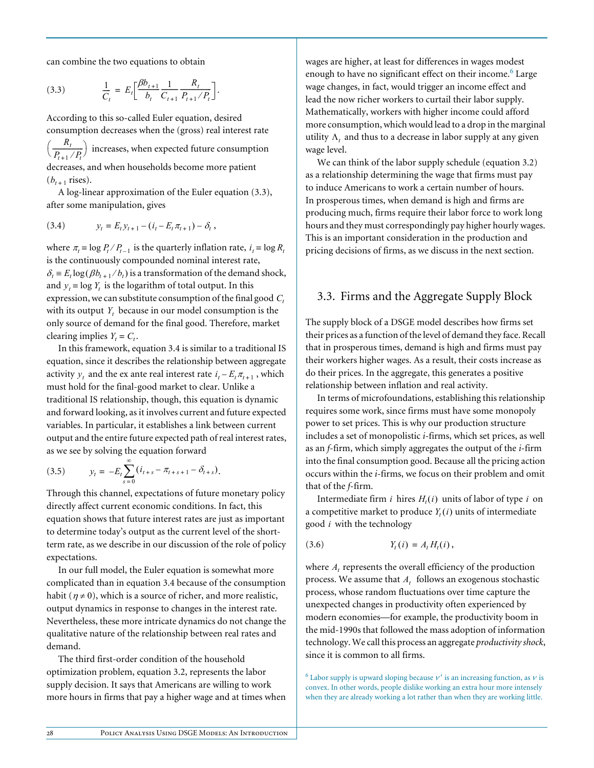can combine the two equations to obtain

(3.3) 
$$
\frac{1}{C_t} = E_t \left[ \frac{\beta b_{t+1}}{b_t} \frac{1}{C_{t+1}} \frac{R_t}{P_{t+1} / P_t} \right].
$$

According to this so-called Euler equation, desired consumption decreases when the (gross) real interest rate  $\left(\frac{R_t}{P_{t+1}/P_t}\right)$  increases, when expected future consumption decreases, and when households become more patient

 $(b_{t+1}$  rises). A log-linear approximation of the Euler equation (3.3), after some manipulation, gives

(3.4) 
$$
y_t = E_t y_{t+1} - (i_t - E_t \pi_{t+1}) - \delta_t,
$$

where  $\pi_t \equiv \log P_t / P_{t-1}$  is the quarterly inflation rate,  $i_t \equiv \log R_t$ is the continuously compounded nominal interest rate,  $\delta_t = E_t \log(\beta b_{t+1}/b_t)$  is a transformation of the demand shock, and  $y_t \equiv \log Y_t$  is the logarithm of total output. In this expression, we can substitute consumption of the final good  $C_t$ with its output  $Y_t$  because in our model consumption is the only source of demand for the final good. Therefore, market clearing implies  $Y_t = C_t$ .

In this framework, equation 3.4 is similar to a traditional IS equation, since it describes the relationship between aggregate activity  $y_t$  and the ex ante real interest rate  $i_t - E_t \pi_{t+1}$ , which must hold for the final-good market to clear. Unlike a traditional IS relationship, though, this equation is dynamic and forward looking, as it involves current and future expected variables. In particular, it establishes a link between current output and the entire future expected path of real interest rates, as we see by solving the equation forward

(3.5) 
$$
y_t = -E_t \sum_{s=0}^{\infty} (i_{t+s} - \pi_{t+s+1} - \delta_{t+s}).
$$

Through this channel, expectations of future monetary policy directly affect current economic conditions. In fact, this equation shows that future interest rates are just as important to determine today's output as the current level of the shortterm rate, as we describe in our discussion of the role of policy expectations.

In our full model, the Euler equation is somewhat more complicated than in equation 3.4 because of the consumption habit ( $\eta \neq 0$ ), which is a source of richer, and more realistic, output dynamics in response to changes in the interest rate. Nevertheless, these more intricate dynamics do not change the qualitative nature of the relationship between real rates and demand.

The third first-order condition of the household optimization problem, equation 3.2, represents the labor supply decision. It says that Americans are willing to work more hours in firms that pay a higher wage and at times when wages are higher, at least for differences in wages modest enough to have no significant effect on their income.<sup>6</sup> Large wage changes, in fact, would trigger an income effect and lead the now richer workers to curtail their labor supply. Mathematically, workers with higher income could afford more consumption, which would lead to a drop in the marginal utility  $\Lambda_t$  and thus to a decrease in labor supply at any given wage level.

We can think of the labor supply schedule (equation 3.2) as a relationship determining the wage that firms must pay to induce Americans to work a certain number of hours. In prosperous times, when demand is high and firms are producing much, firms require their labor force to work long hours and they must correspondingly pay higher hourly wages. This is an important consideration in the production and pricing decisions of firms, as we discuss in the next section.

## 3.3. Firms and the Aggregate Supply Block

The supply block of a DSGE model describes how firms set their prices as a function of the level of demand they face. Recall that in prosperous times, demand is high and firms must pay their workers higher wages. As a result, their costs increase as do their prices. In the aggregate, this generates a positive relationship between inflation and real activity.

In terms of microfoundations, establishing this relationship requires some work, since firms must have some monopoly power to set prices. This is why our production structure includes a set of monopolistic *i*-firms, which set prices, as well as an *f*-firm, which simply aggregates the output of the *i*-firm into the final consumption good. Because all the pricing action occurs within the *i*-firms, we focus on their problem and omit that of the *f*-firm.

Intermediate firm *i* hires  $H_t(i)$  units of labor of type *i* on a competitive market to produce  $Y_t(i)$  units of intermediate good *i* with the technology

(3.6) 
$$
Y_t(i) = A_t H_t(i),
$$

where  $A_t$  represents the overall efficiency of the production process. We assume that  $A_t$  follows an exogenous stochastic process, whose random fluctuations over time capture the unexpected changes in productivity often experienced by modern economies—for example, the productivity boom in the mid-1990s that followed the mass adoption of information technology. We call this process an aggregate *productivity shock*, since it is common to all firms.

<sup>6</sup> Labor supply is upward sloping because  $\nu'$  is an increasing function, as  $\nu$  is convex. In other words, people dislike working an extra hour more intensely when they are already working a lot rather than when they are working little.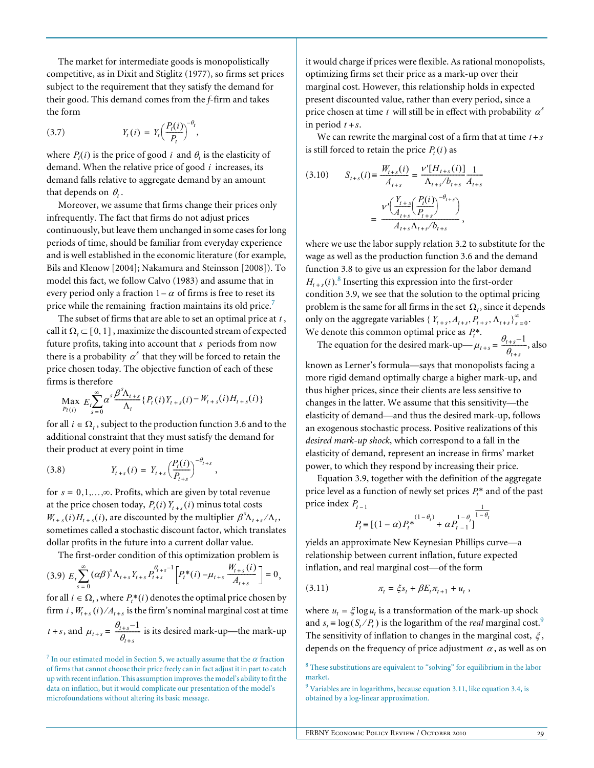The market for intermediate goods is monopolistically competitive, as in Dixit and Stiglitz (1977), so firms set prices subject to the requirement that they satisfy the demand for their good. This demand comes from the *f*-firm and takes the form

(3.7) 
$$
Y_{t}(i) = Y_{t}\left(\frac{P_{t}(i)}{P_{t}}\right)^{-\theta_{t}},
$$

where  $P_t(i)$  is the price of good *i* and  $\theta_t$  is the elasticity of demand. When the relative price of good  $i$  increases, its demand falls relative to aggregate demand by an amount that depends on  $\theta_t$ .

Moreover, we assume that firms change their prices only infrequently. The fact that firms do not adjust prices continuously, but leave them unchanged in some cases for long periods of time, should be familiar from everyday experience and is well established in the economic literature (for example, Bils and Klenow [2004]; Nakamura and Steinsson [2008]). To model this fact, we follow Calvo (1983) and assume that in every period only a fraction  $1 - \alpha$  of firms is free to reset its price while the remaining fraction maintains its old price.<sup>7</sup>

The subset of firms that are able to set an optimal price at  $t$ , call it  $\Omega_t \subset [0, 1]$ , maximize the discounted stream of expected future profits, taking into account that s periods from now there is a probability  $\alpha^s$  that they will be forced to retain the price chosen today. The objective function of each of these firms is therefore

$$
\max_{P_{t}(i)} E_{t} \sum_{s=0}^{\infty} \alpha^{s} \frac{\beta^{s} \Lambda_{t+s}}{\Lambda_{t}} \{P_{t}(i)Y_{t+s}(i) - W_{t+s}(i)H_{t+s}(i)\}
$$

for all  $i \in \Omega_t$ , subject to the production function 3.6 and to the additional constraint that they must satisfy the demand for their product at every point in time

(3.8)  $Y_{t+s}(i) = Y_{t+s} \left(\frac{P_t(i)}{P}\right)^{-\theta_{t+s}},$  $= Y_{t+s} \left( \frac{P_t(i)}{P_{t+s}} \right)^{-\theta_{t+s}}$ 

for  $s = 0, 1, \ldots, \infty$ . Profits, which are given by total revenue at the price chosen today,  $P_t(i) Y_{t+s}(i)$  minus total costs  $W_{t+s}(i)H_{t+s}(i)$ , are discounted by the multiplier  $\beta^s \Lambda_{t+s}/\Lambda_t$ , sometimes called a stochastic discount factor, which translates dollar profits in the future into a current dollar value.

The first-order condition of this optimization problem is

$$
(3.9)\ E_{t} \sum_{s=0}^{\infty} (\alpha \beta)^{s} \Lambda_{t+s} Y_{t+s} P_{t+s}^{\theta_{t+s}-1} \left[ P_{t}^{*}(i) - \mu_{t+s} \frac{W_{t+s}(i)}{A_{t+s}} \right] = 0,
$$

for all  $i \in \Omega_t$ , where  $P_t^*(i)$  denotes the optimal price chosen by firm *i*,  $W_{t+s}(i) / A_{t+s}$  is the firm's nominal marginal cost at time *t* + *s*, and  $\mu_{t+s} = \frac{\theta_{t+s} - 1}{\rho}$  is its desired mark-up—the mark-up  $=\frac{b_{t+s}-1}{\theta_{t+s}}$ 

it would charge if prices were flexible. As rational monopolists, optimizing firms set their price as a mark-up over their marginal cost. However, this relationship holds in expected present discounted value, rather than every period, since a price chosen at time  $t$  will still be in effect with probability  $\alpha^s$ in period  $t + s$ .

We can rewrite the marginal cost of a firm that at time  $t + s$ is still forced to retain the price  $P_t(i)$  as

$$
(3.10) \tS_{t+s}(i) = \frac{W_{t+s}(i)}{A_{t+s}} = \frac{V'[H_{t+s}(i)]}{\Lambda_{t+s}/b_{t+s}} \frac{1}{A_{t+s}} = \frac{V'\left(\frac{Y_{t+s}}{A_{t+s}}\left(\frac{P_t(i)}{P_{t+s}}\right)^{-\theta_{t+s}}\right)}{A_{t+s}\Lambda_{t+s}/b_{t+s}},
$$

where we use the labor supply relation 3.2 to substitute for the wage as well as the production function 3.6 and the demand function 3.8 to give us an expression for the labor demand  $H_{t+s}(i)$ .<sup>8</sup> Inserting this expression into the first-order condition 3.9, we see that the solution to the optimal pricing problem is the same for all firms in the set  $\Omega_t$ , since it depends only on the aggregate variables {  $Y_{t+s}, A_{t+s}, P_{t+s}, \Lambda_{t+s}$ } $\int_{s=0}^{\infty}$ . We denote this common optimal price as  $P_t^*$ .

The equation for the desired mark-up— $\mu_{t+s} = \frac{\theta_{t+s}-1}{\theta}$ , also  $=\frac{U_{t+s}-I}{\theta_{t+s}}$ 

known as Lerner's formula—says that monopolists facing a more rigid demand optimally charge a higher mark-up, and thus higher prices, since their clients are less sensitive to changes in the latter. We assume that this sensitivity—the elasticity of demand—and thus the desired mark-up, follows an exogenous stochastic process. Positive realizations of this *desired mark-up shock*, which correspond to a fall in the elasticity of demand, represent an increase in firms' market power, to which they respond by increasing their price.

Equation 3.9, together with the definition of the aggregate price level as a function of newly set prices  $P_t^*$  and of the past price index *Pt* – <sup>1</sup> 1

$$
P_{t} = [(1 - \alpha) P_{t}^{*^{(1 - \theta_{t})}} + \alpha P_{t-1}^{1 - \theta_{t}}]
$$

yields an approximate New Keynesian Phillips curve—a relationship between current inflation, future expected inflation, and real marginal cost—of the form

(3.11) 
$$
\pi_t = \xi s_t + \beta E_t \pi_{t+1} + u_t,
$$

where  $u_t = \xi \log u_t$  is a transformation of the mark-up shock and  $s_t \equiv \log(S_t/P_t)$  is the logarithm of the *real* marginal cost.<sup>9</sup> The sensitivity of inflation to changes in the marginal cost,  $\xi$ , depends on the frequency of price adjustment  $\alpha$ , as well as on

<sup>&</sup>lt;sup>7</sup> In our estimated model in Section 5, we actually assume that the  $\alpha$  fraction of firms that cannot choose their price freely can in fact adjust it in part to catch up with recent inflation. This assumption improves the model's ability to fit the data on inflation, but it would complicate our presentation of the model's microfoundations without altering its basic message.

<sup>&</sup>lt;sup>8</sup> These substitutions are equivalent to "solving" for equilibrium in the labor market.

<sup>&</sup>lt;sup>9</sup> Variables are in logarithms, because equation 3.11, like equation 3.4, is obtained by a log-linear approximation.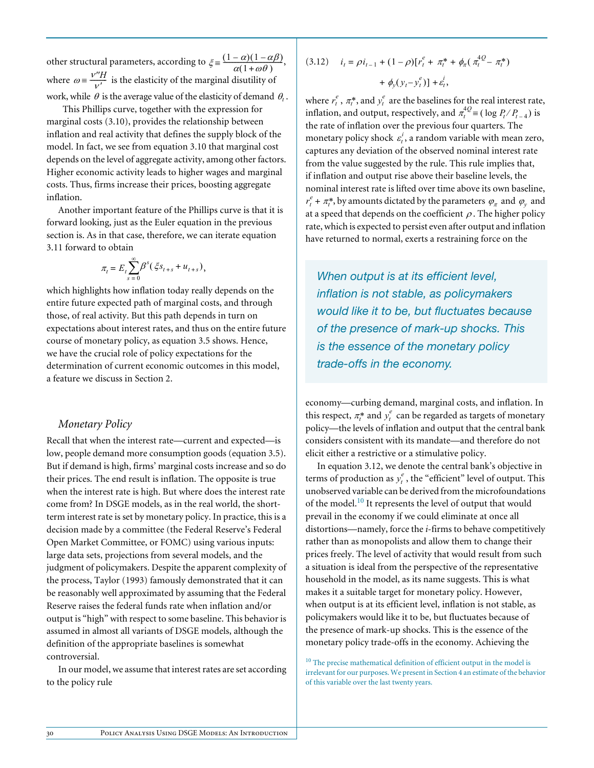other structural parameters, according to  $\xi = \frac{(1-\alpha)(1-\alpha\beta)}{\alpha(1+\omega\theta)}$ , where  $\omega = \frac{v''H}{v'}$  is the elasticity of the marginal disutility of work, while  $\theta$  is the average value of the elasticity of demand  $\theta_t$ .

 This Phillips curve, together with the expression for marginal costs (3.10), provides the relationship between inflation and real activity that defines the supply block of the model. In fact, we see from equation 3.10 that marginal cost depends on the level of aggregate activity, among other factors. Higher economic activity leads to higher wages and marginal costs. Thus, firms increase their prices, boosting aggregate inflation.

Another important feature of the Phillips curve is that it is forward looking, just as the Euler equation in the previous section is. As in that case, therefore, we can iterate equation 3.11 forward to obtain

$$
\pi_t = E_t \sum_{s=0}^{\infty} \beta^s (\xi s_{t+s} + u_{t+s}),
$$

which highlights how inflation today really depends on the entire future expected path of marginal costs, and through those, of real activity. But this path depends in turn on expectations about interest rates, and thus on the entire future course of monetary policy, as equation 3.5 shows. Hence, we have the crucial role of policy expectations for the determination of current economic outcomes in this model, a feature we discuss in Section 2.

## *Monetary Policy*

Recall that when the interest rate—current and expected—is low, people demand more consumption goods (equation 3.5). But if demand is high, firms' marginal costs increase and so do their prices. The end result is inflation. The opposite is true when the interest rate is high. But where does the interest rate come from? In DSGE models, as in the real world, the shortterm interest rate is set by monetary policy. In practice, this is a decision made by a committee (the Federal Reserve's Federal Open Market Committee, or FOMC) using various inputs: large data sets, projections from several models, and the judgment of policymakers. Despite the apparent complexity of the process, Taylor (1993) famously demonstrated that it can be reasonably well approximated by assuming that the Federal Reserve raises the federal funds rate when inflation and/or output is "high" with respect to some baseline. This behavior is assumed in almost all variants of DSGE models, although the definition of the appropriate baselines is somewhat controversial.

In our model, we assume that interest rates are set according to the policy rule

(3.12) 
$$
i_{t} = \rho i_{t-1} + (1 - \rho)[r_{t}^{e} + \pi_{t}^{*} + \phi_{\pi}(\pi_{t}^{4Q} - \pi_{t}^{*}) + \phi_{y}(y_{t} - y_{t}^{e})] + \varepsilon_{t}^{i},
$$

where  $r_t^e$ ,  $\pi_t^*$ , and  $y_t^e$  are the baselines for the real interest rate, inflation, and output, respectively, and  $\pi_t^{4Q} \equiv (\log P_t/P_{t-4})$  is the rate of inflation over the previous four quarters. The monetary policy shock  $\varepsilon_t^i$ , a random variable with mean zero, captures any deviation of the observed nominal interest rate from the value suggested by the rule. This rule implies that, if inflation and output rise above their baseline levels, the nominal interest rate is lifted over time above its own baseline,  $r_t^e + \pi_t^*$ , by amounts dictated by the parameters  $\varphi_\pi$  and  $\varphi_y$  and at a speed that depends on the coefficient  $\rho$  . The higher policy rate, which is expected to persist even after output and inflation have returned to normal, exerts a restraining force on the

*When output is at its efficient level, inflation is not stable, as policymakers would like it to be, but fluctuates because of the presence of mark-up shocks. This is the essence of the monetary policy trade-offs in the economy.*

economy—curbing demand, marginal costs, and inflation. In this respect,  $\pi_t^*$  and  $y_t^e$  can be regarded as targets of monetary policy—the levels of inflation and output that the central bank considers consistent with its mandate—and therefore do not elicit either a restrictive or a stimulative policy.

In equation 3.12, we denote the central bank's objective in terms of production as  $y_t^e$ , the "efficient" level of output. This unobserved variable can be derived from the microfoundations of the model.<sup>10</sup> It represents the level of output that would prevail in the economy if we could eliminate at once all distortions—namely, force the *i*-firms to behave competitively rather than as monopolists and allow them to change their prices freely. The level of activity that would result from such a situation is ideal from the perspective of the representative household in the model, as its name suggests. This is what makes it a suitable target for monetary policy. However, when output is at its efficient level, inflation is not stable, as policymakers would like it to be, but fluctuates because of the presence of mark-up shocks. This is the essence of the monetary policy trade-offs in the economy. Achieving the

<sup>10</sup> The precise mathematical definition of efficient output in the model is irrelevant for our purposes. We present in Section 4 an estimate of the behavior of this variable over the last twenty years.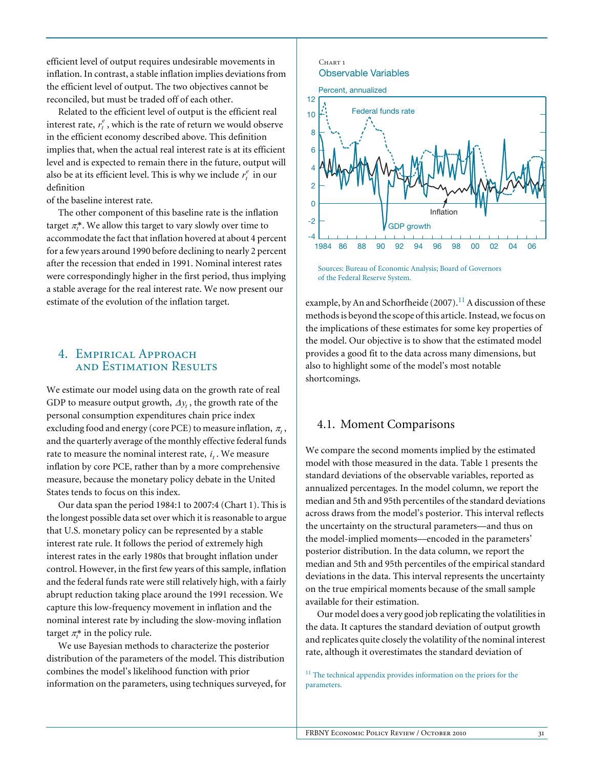efficient level of output requires undesirable movements in inflation. In contrast, a stable inflation implies deviations from the efficient level of output. The two objectives cannot be reconciled, but must be traded off of each other.

Related to the efficient level of output is the efficient real interest rate,  $r_t^e$ , which is the rate of return we would observe in the efficient economy described above. This definition implies that, when the actual real interest rate is at its efficient level and is expected to remain there in the future, output will also be at its efficient level. This is why we include  $r_t^e$  in our definition

of the baseline interest rate.

The other component of this baseline rate is the inflation target  $\pi_t^*$ . We allow this target to vary slowly over time to accommodate the fact that inflation hovered at about 4 percent for a few years around 1990 before declining to nearly 2 percent after the recession that ended in 1991. Nominal interest rates were correspondingly higher in the first period, thus implying a stable average for the real interest rate. We now present our estimate of the evolution of the inflation target.

## 4. Empirical Approach and Estimation Results

We estimate our model using data on the growth rate of real GDP to measure output growth,  $\varDelta y_t$ , the growth rate of the personal consumption expenditures chain price index excluding food and energy (core PCE) to measure inflation,  $\pi_t$ , and the quarterly average of the monthly effective federal funds rate to measure the nominal interest rate,  $i_t$ . We measure inflation by core PCE, rather than by a more comprehensive measure, because the monetary policy debate in the United States tends to focus on this index.

Our data span the period 1984:1 to 2007:4 (Chart 1). This is the longest possible data set over which it is reasonable to argue that U.S. monetary policy can be represented by a stable interest rate rule. It follows the period of extremely high interest rates in the early 1980s that brought inflation under control. However, in the first few years of this sample, inflation and the federal funds rate were still relatively high, with a fairly abrupt reduction taking place around the 1991 recession. We capture this low-frequency movement in inflation and the nominal interest rate by including the slow-moving inflation target  $\pi_t^*$  in the policy rule.

We use Bayesian methods to characterize the posterior distribution of the parameters of the model. This distribution combines the model's likelihood function with prior information on the parameters, using techniques surveyed, for

Chart 1 Observable Variables

Percent, annualized



Sources: Bureau of Economic Analysis; Board of Governors of the Federal Reserve System.

example, by An and Schorfheide (2007).<sup>11</sup> A discussion of these methods is beyond the scope of this article. Instead, we focus on the implications of these estimates for some key properties of the model. Our objective is to show that the estimated model provides a good fit to the data across many dimensions, but also to highlight some of the model's most notable shortcomings.

## 4.1. Moment Comparisons

We compare the second moments implied by the estimated model with those measured in the data. Table 1 presents the standard deviations of the observable variables, reported as annualized percentages. In the model column, we report the median and 5th and 95th percentiles of the standard deviations across draws from the model's posterior. This interval reflects the uncertainty on the structural parameters—and thus on the model-implied moments—encoded in the parameters' posterior distribution. In the data column, we report the median and 5th and 95th percentiles of the empirical standard deviations in the data. This interval represents the uncertainty on the true empirical moments because of the small sample available for their estimation.

Our model does a very good job replicating the volatilities in the data. It captures the standard deviation of output growth and replicates quite closely the volatility of the nominal interest rate, although it overestimates the standard deviation of

 $11$  The technical appendix provides information on the priors for the parameters.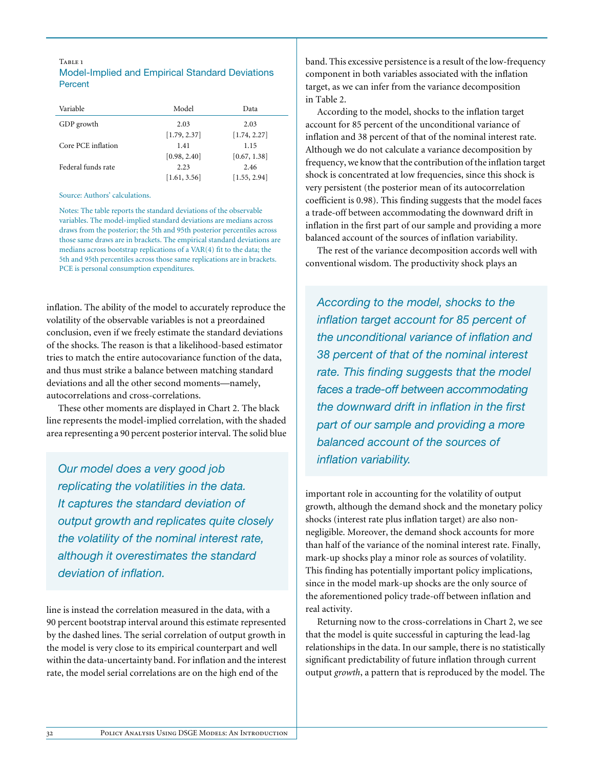#### TABLE<sub>1</sub> Model-Implied and Empirical Standard Deviations **Percent**

| Variable           | Model        | Data         |
|--------------------|--------------|--------------|
| GDP growth         | 2.03         | 2.03         |
|                    | [1.79, 2.37] | [1.74, 2.27] |
| Core PCE inflation | 1.41         | 1.15         |
|                    | [0.98, 2.40] | [0.67, 1.38] |
| Federal funds rate | 2.23         | 2.46         |
|                    | [1.61, 3.56] | [1.55, 2.94] |

Source: Authors' calculations.

Notes: The table reports the standard deviations of the observable variables. The model-implied standard deviations are medians across draws from the posterior; the 5th and 95th posterior percentiles across those same draws are in brackets. The empirical standard deviations are medians across bootstrap replications of a VAR(4) fit to the data; the 5th and 95th percentiles across those same replications are in brackets. PCE is personal consumption expenditures.

inflation. The ability of the model to accurately reproduce the volatility of the observable variables is not a preordained conclusion, even if we freely estimate the standard deviations of the shocks. The reason is that a likelihood-based estimator tries to match the entire autocovariance function of the data, and thus must strike a balance between matching standard deviations and all the other second moments—namely, autocorrelations and cross-correlations.

These other moments are displayed in Chart 2. The black line represents the model-implied correlation, with the shaded area representing a 90 percent posterior interval. The solid blue

*Our model does a very good job replicating the volatilities in the data. It captures the standard deviation of output growth and replicates quite closely the volatility of the nominal interest rate, although it overestimates the standard deviation of inflation.*

line is instead the correlation measured in the data, with a 90 percent bootstrap interval around this estimate represented by the dashed lines. The serial correlation of output growth in the model is very close to its empirical counterpart and well within the data-uncertainty band. For inflation and the interest rate, the model serial correlations are on the high end of the

band. This excessive persistence is a result of the low-frequency component in both variables associated with the inflation target, as we can infer from the variance decomposition in Table 2.

According to the model, shocks to the inflation target account for 85 percent of the unconditional variance of inflation and 38 percent of that of the nominal interest rate. Although we do not calculate a variance decomposition by frequency, we know that the contribution of the inflation target shock is concentrated at low frequencies, since this shock is very persistent (the posterior mean of its autocorrelation coefficient is 0.98). This finding suggests that the model faces a trade-off between accommodating the downward drift in inflation in the first part of our sample and providing a more balanced account of the sources of inflation variability.

The rest of the variance decomposition accords well with conventional wisdom. The productivity shock plays an

*According to the model, shocks to the inflation target account for 85 percent of the unconditional variance of inflation and 38 percent of that of the nominal interest rate. This finding suggests that the model faces a trade-off between accommodating the downward drift in inflation in the first part of our sample and providing a more balanced account of the sources of inflation variability.*

important role in accounting for the volatility of output growth, although the demand shock and the monetary policy shocks (interest rate plus inflation target) are also nonnegligible. Moreover, the demand shock accounts for more than half of the variance of the nominal interest rate. Finally, mark-up shocks play a minor role as sources of volatility. This finding has potentially important policy implications, since in the model mark-up shocks are the only source of the aforementioned policy trade-off between inflation and real activity.

Returning now to the cross-correlations in Chart 2, we see that the model is quite successful in capturing the lead-lag relationships in the data. In our sample, there is no statistically significant predictability of future inflation through current output *growth*, a pattern that is reproduced by the model. The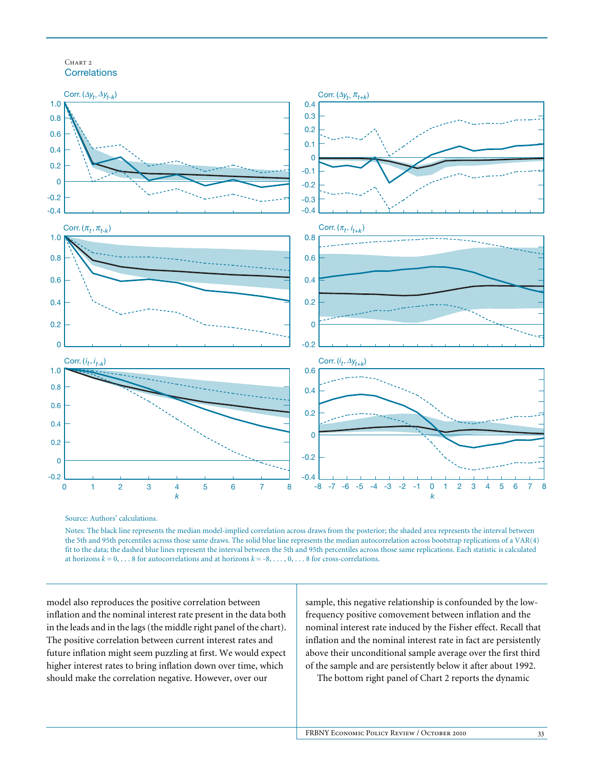

Source: Authors' calculations.

Notes: The black line represents the median model-implied correlation across draws from the posterior; the shaded area represents the interval between the 5th and 95th percentiles across those same draws. The solid blue line represents the median autocorrelation across bootstrap replications of a VAR(4) fit to the data; the dashed blue lines represent the interval between the 5th and 95th percentiles across those same replications. Each statistic is calculated at horizons  $k = 0, \ldots 8$  for autocorrelations and at horizons  $k = -8, \ldots, 0, \ldots 8$  for cross-correlations.

model also reproduces the positive correlation between inflation and the nominal interest rate present in the data both in the leads and in the lags (the middle right panel of the chart). The positive correlation between current interest rates and future inflation might seem puzzling at first. We would expect higher interest rates to bring inflation down over time, which should make the correlation negative. However, over our

sample, this negative relationship is confounded by the lowfrequency positive comovement between inflation and the nominal interest rate induced by the Fisher effect. Recall that inflation and the nominal interest rate in fact are persistently above their unconditional sample average over the first third of the sample and are persistently below it after about 1992.

The bottom right panel of Chart 2 reports the dynamic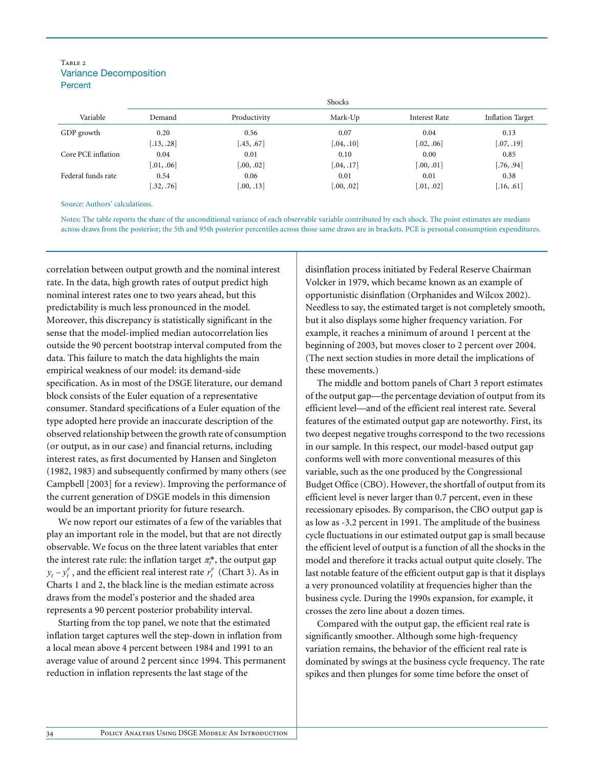#### TABLE 2 Variance Decomposition **Percent**

|                    |            |              | <b>Shocks</b> |                      |                         |
|--------------------|------------|--------------|---------------|----------------------|-------------------------|
| Variable           | Demand     | Productivity | Mark-Up       | <b>Interest Rate</b> | <b>Inflation Target</b> |
| GDP growth         | 0.20       | 0.56         | 0.07          | 0.04                 | 0.13                    |
|                    | [.13, .28] | [.45, .67]   | [.04, .10]    | [.02, .06]           | [.07, .19]              |
| Core PCE inflation | 0.04       | 0.01         | 0.10          | 0.00                 | 0.85                    |
|                    | [.01, .06] | .00, .02]    | [.04, .17]    | [.00, .01]           | [.76, .94]              |
| Federal funds rate | 0.54       | 0.06         | 0.01          | 0.01                 | 0.38                    |
|                    | [.32, .76] | .00, .13]    | [.00, .02]    | [.01, .02]           | [.16, .61]              |

Source: Authors' calculations.

Notes: The table reports the share of the unconditional variance of each observable variable contributed by each shock. The point estimates are medians across draws from the posterior; the 5th and 95th posterior percentiles across those same draws are in brackets. PCE is personal consumption expenditures.

correlation between output growth and the nominal interest rate. In the data, high growth rates of output predict high nominal interest rates one to two years ahead, but this predictability is much less pronounced in the model. Moreover, this discrepancy is statistically significant in the sense that the model-implied median autocorrelation lies outside the 90 percent bootstrap interval computed from the data. This failure to match the data highlights the main empirical weakness of our model: its demand-side specification. As in most of the DSGE literature, our demand block consists of the Euler equation of a representative consumer. Standard specifications of a Euler equation of the type adopted here provide an inaccurate description of the observed relationship between the growth rate of consumption (or output, as in our case) and financial returns, including interest rates, as first documented by Hansen and Singleton (1982, 1983) and subsequently confirmed by many others (see Campbell [2003] for a review). Improving the performance of the current generation of DSGE models in this dimension would be an important priority for future research.

We now report our estimates of a few of the variables that play an important role in the model, but that are not directly observable. We focus on the three latent variables that enter the interest rate rule: the inflation target  $\pi_t^*$ , the output gap  $y_t - y_t^e$ , and the efficient real interest rate  $r_t^e$  (Chart 3). As in Charts 1 and 2, the black line is the median estimate across draws from the model's posterior and the shaded area represents a 90 percent posterior probability interval.

Starting from the top panel, we note that the estimated inflation target captures well the step-down in inflation from a local mean above 4 percent between 1984 and 1991 to an average value of around 2 percent since 1994. This permanent reduction in inflation represents the last stage of the

disinflation process initiated by Federal Reserve Chairman Volcker in 1979, which became known as an example of opportunistic disinflation (Orphanides and Wilcox 2002). Needless to say, the estimated target is not completely smooth, but it also displays some higher frequency variation. For example, it reaches a minimum of around 1 percent at the beginning of 2003, but moves closer to 2 percent over 2004. (The next section studies in more detail the implications of these movements.)

The middle and bottom panels of Chart 3 report estimates of the output gap—the percentage deviation of output from its efficient level—and of the efficient real interest rate. Several features of the estimated output gap are noteworthy. First, its two deepest negative troughs correspond to the two recessions in our sample. In this respect, our model-based output gap conforms well with more conventional measures of this variable, such as the one produced by the Congressional Budget Office (CBO). However, the shortfall of output from its efficient level is never larger than 0.7 percent, even in these recessionary episodes. By comparison, the CBO output gap is as low as -3.2 percent in 1991. The amplitude of the business cycle fluctuations in our estimated output gap is small because the efficient level of output is a function of all the shocks in the model and therefore it tracks actual output quite closely. The last notable feature of the efficient output gap is that it displays a very pronounced volatility at frequencies higher than the business cycle. During the 1990s expansion, for example, it crosses the zero line about a dozen times.

Compared with the output gap, the efficient real rate is significantly smoother. Although some high-frequency variation remains, the behavior of the efficient real rate is dominated by swings at the business cycle frequency. The rate spikes and then plunges for some time before the onset of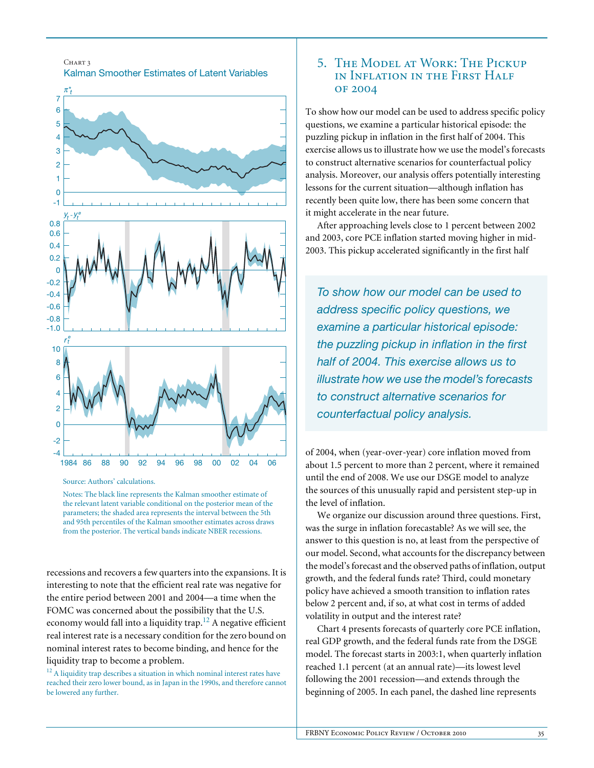

Source: Authors' calculations.

Notes: The black line represents the Kalman smoother estimate of the relevant latent variable conditional on the posterior mean of the parameters; the shaded area represents the interval between the 5th and 95th percentiles of the Kalman smoother estimates across draws from the posterior. The vertical bands indicate NBER recessions.

recessions and recovers a few quarters into the expansions. It is interesting to note that the efficient real rate was negative for the entire period between 2001 and 2004—a time when the FOMC was concerned about the possibility that the U.S. economy would fall into a liquidity trap.<sup>12</sup> A negative efficient real interest rate is a necessary condition for the zero bound on nominal interest rates to become binding, and hence for the liquidity trap to become a problem.

 $12$  A liquidity trap describes a situation in which nominal interest rates have reached their zero lower bound, as in Japan in the 1990s, and therefore cannot be lowered any further.

## 5. The Model at Work: The Pickup in Inflation in the First Half OF 2004

To show how our model can be used to address specific policy questions, we examine a particular historical episode: the puzzling pickup in inflation in the first half of 2004. This exercise allows us to illustrate how we use the model's forecasts to construct alternative scenarios for counterfactual policy analysis. Moreover, our analysis offers potentially interesting lessons for the current situation—although inflation has recently been quite low, there has been some concern that it might accelerate in the near future.

After approaching levels close to 1 percent between 2002 and 2003, core PCE inflation started moving higher in mid-2003. This pickup accelerated significantly in the first half

*To show how our model can be used to address specific policy questions, we examine a particular historical episode: the puzzling pickup in inflation in the first half of 2004. This exercise allows us to illustrate how we use the model's forecasts to construct alternative scenarios for counterfactual policy analysis.*

of 2004, when (year-over-year) core inflation moved from about 1.5 percent to more than 2 percent, where it remained until the end of 2008. We use our DSGE model to analyze the sources of this unusually rapid and persistent step-up in the level of inflation.

We organize our discussion around three questions. First, was the surge in inflation forecastable? As we will see, the answer to this question is no, at least from the perspective of our model. Second, what accounts for the discrepancy between the model's forecast and the observed paths of inflation, output growth, and the federal funds rate? Third, could monetary policy have achieved a smooth transition to inflation rates below 2 percent and, if so, at what cost in terms of added volatility in output and the interest rate?

Chart 4 presents forecasts of quarterly core PCE inflation, real GDP growth, and the federal funds rate from the DSGE model. The forecast starts in 2003:1, when quarterly inflation reached 1.1 percent (at an annual rate)—its lowest level following the 2001 recession—and extends through the beginning of 2005. In each panel, the dashed line represents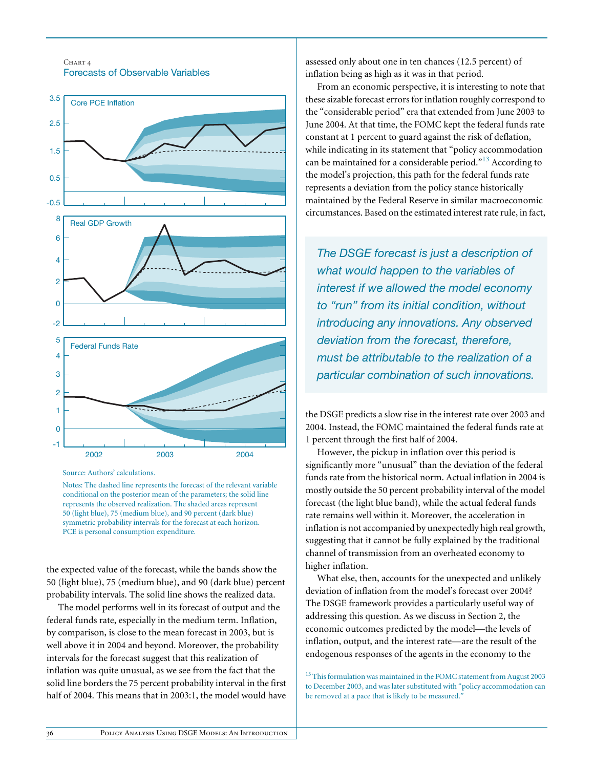

Source: Authors' calculations.

 $CHARTA$ 

Notes: The dashed line represents the forecast of the relevant variable conditional on the posterior mean of the parameters; the solid line represents the observed realization. The shaded areas represent 50 (light blue), 75 (medium blue), and 90 percent (dark blue) symmetric probability intervals for the forecast at each horizon. PCE is personal consumption expenditure.

the expected value of the forecast, while the bands show the 50 (light blue), 75 (medium blue), and 90 (dark blue) percent probability intervals. The solid line shows the realized data.

The model performs well in its forecast of output and the federal funds rate, especially in the medium term. Inflation, by comparison, is close to the mean forecast in 2003, but is well above it in 2004 and beyond. Moreover, the probability intervals for the forecast suggest that this realization of inflation was quite unusual, as we see from the fact that the solid line borders the 75 percent probability interval in the first half of 2004. This means that in 2003:1, the model would have

assessed only about one in ten chances (12.5 percent) of inflation being as high as it was in that period.

From an economic perspective, it is interesting to note that these sizable forecast errors for inflation roughly correspond to the "considerable period" era that extended from June 2003 to June 2004. At that time, the FOMC kept the federal funds rate constant at 1 percent to guard against the risk of deflation, while indicating in its statement that "policy accommodation can be maintained for a considerable period."13 According to the model's projection, this path for the federal funds rate represents a deviation from the policy stance historically maintained by the Federal Reserve in similar macroeconomic circumstances. Based on the estimated interest rate rule, in fact,

*The DSGE forecast is just a description of what would happen to the variables of interest if we allowed the model economy to "run" from its initial condition, without introducing any innovations. Any observed deviation from the forecast, therefore, must be attributable to the realization of a particular combination of such innovations.*

the DSGE predicts a slow rise in the interest rate over 2003 and 2004. Instead, the FOMC maintained the federal funds rate at 1 percent through the first half of 2004.

However, the pickup in inflation over this period is significantly more "unusual" than the deviation of the federal funds rate from the historical norm. Actual inflation in 2004 is mostly outside the 50 percent probability interval of the model forecast (the light blue band), while the actual federal funds rate remains well within it. Moreover, the acceleration in inflation is not accompanied by unexpectedly high real growth, suggesting that it cannot be fully explained by the traditional channel of transmission from an overheated economy to higher inflation.

What else, then, accounts for the unexpected and unlikely deviation of inflation from the model's forecast over 2004? The DSGE framework provides a particularly useful way of addressing this question. As we discuss in Section 2, the economic outcomes predicted by the model—the levels of inflation, output, and the interest rate—are the result of the endogenous responses of the agents in the economy to the

<sup>13</sup> This formulation was maintained in the FOMC statement from August 2003 to December 2003, and was later substituted with "policy accommodation can be removed at a pace that is likely to be measured."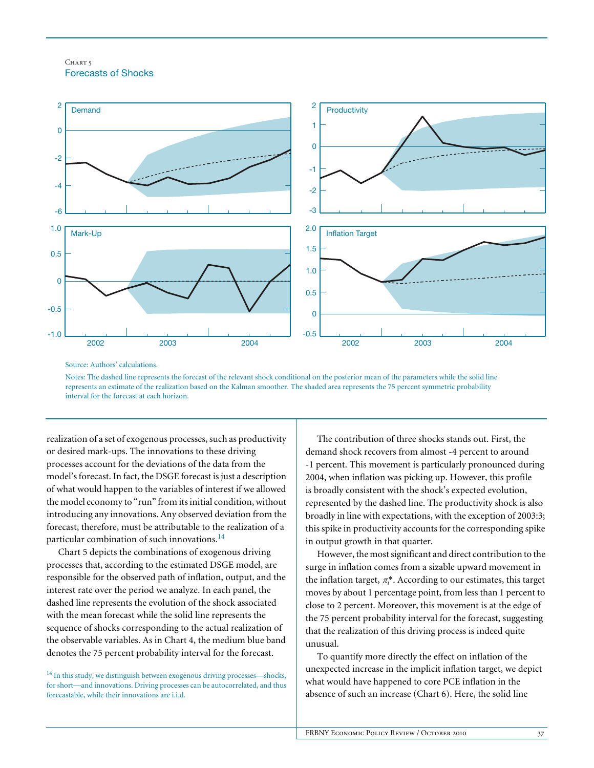$CHARTS$ Forecasts of Shocks



Source: Authors' calculations.

Notes: The dashed line represents the forecast of the relevant shock conditional on the posterior mean of the parameters while the solid line represents an estimate of the realization based on the Kalman smoother. The shaded area represents the 75 percent symmetric probability interval for the forecast at each horizon.

realization of a set of exogenous processes, such as productivity or desired mark-ups. The innovations to these driving processes account for the deviations of the data from the model's forecast. In fact, the DSGE forecast is just a description of what would happen to the variables of interest if we allowed the model economy to "run" from its initial condition, without introducing any innovations. Any observed deviation from the forecast, therefore, must be attributable to the realization of a particular combination of such innovations.<sup>14</sup>

Chart 5 depicts the combinations of exogenous driving processes that, according to the estimated DSGE model, are responsible for the observed path of inflation, output, and the interest rate over the period we analyze. In each panel, the dashed line represents the evolution of the shock associated with the mean forecast while the solid line represents the sequence of shocks corresponding to the actual realization of the observable variables. As in Chart 4, the medium blue band denotes the 75 percent probability interval for the forecast.

 $14$  In this study, we distinguish between exogenous driving processes—shocks, for short—and innovations. Driving processes can be autocorrelated, and thus forecastable, while their innovations are i.i.d.

The contribution of three shocks stands out. First, the demand shock recovers from almost -4 percent to around -1 percent. This movement is particularly pronounced during 2004, when inflation was picking up. However, this profile is broadly consistent with the shock's expected evolution, represented by the dashed line. The productivity shock is also broadly in line with expectations, with the exception of 2003:3; this spike in productivity accounts for the corresponding spike in output growth in that quarter.

However, the most significant and direct contribution to the surge in inflation comes from a sizable upward movement in the inflation target,  $\pi_t^*$ . According to our estimates, this target moves by about 1 percentage point, from less than 1 percent to close to 2 percent. Moreover, this movement is at the edge of the 75 percent probability interval for the forecast, suggesting that the realization of this driving process is indeed quite unusual.

To quantify more directly the effect on inflation of the unexpected increase in the implicit inflation target, we depict what would have happened to core PCE inflation in the absence of such an increase (Chart 6). Here, the solid line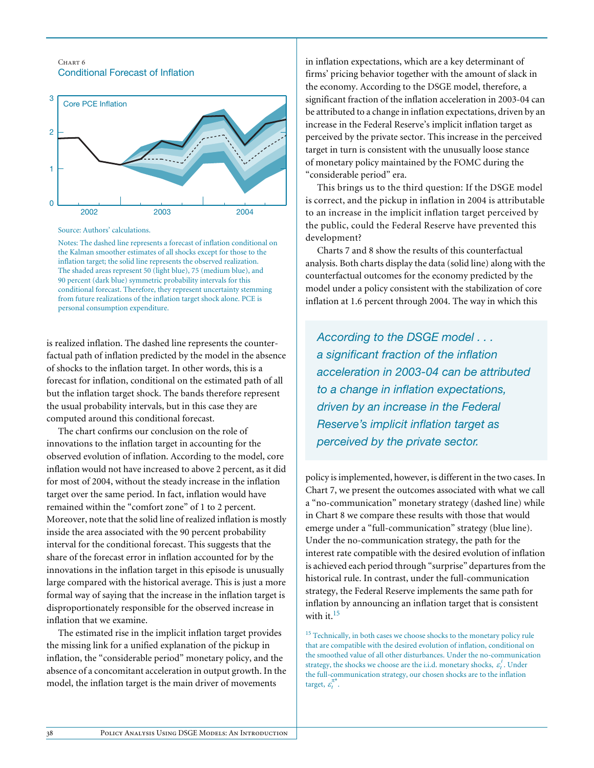#### Chart 6 Conditional Forecast of Inflation



Source: Authors' calculations.

Notes: The dashed line represents a forecast of inflation conditional on the Kalman smoother estimates of all shocks except for those to the inflation target; the solid line represents the observed realization. The shaded areas represent 50 (light blue), 75 (medium blue), and 90 percent (dark blue) symmetric probability intervals for this conditional forecast. Therefore, they represent uncertainty stemming from future realizations of the inflation target shock alone. PCE is personal consumption expenditure.

is realized inflation. The dashed line represents the counterfactual path of inflation predicted by the model in the absence of shocks to the inflation target. In other words, this is a forecast for inflation, conditional on the estimated path of all but the inflation target shock. The bands therefore represent the usual probability intervals, but in this case they are computed around this conditional forecast.

The chart confirms our conclusion on the role of innovations to the inflation target in accounting for the observed evolution of inflation. According to the model, core inflation would not have increased to above 2 percent, as it did for most of 2004, without the steady increase in the inflation target over the same period. In fact, inflation would have remained within the "comfort zone" of 1 to 2 percent. Moreover, note that the solid line of realized inflation is mostly inside the area associated with the 90 percent probability interval for the conditional forecast. This suggests that the share of the forecast error in inflation accounted for by the innovations in the inflation target in this episode is unusually large compared with the historical average. This is just a more formal way of saying that the increase in the inflation target is disproportionately responsible for the observed increase in inflation that we examine.

The estimated rise in the implicit inflation target provides the missing link for a unified explanation of the pickup in inflation, the "considerable period" monetary policy, and the absence of a concomitant acceleration in output growth. In the model, the inflation target is the main driver of movements

in inflation expectations, which are a key determinant of firms' pricing behavior together with the amount of slack in the economy. According to the DSGE model, therefore, a significant fraction of the inflation acceleration in 2003-04 can be attributed to a change in inflation expectations, driven by an increase in the Federal Reserve's implicit inflation target as perceived by the private sector. This increase in the perceived target in turn is consistent with the unusually loose stance of monetary policy maintained by the FOMC during the "considerable period" era.

This brings us to the third question: If the DSGE model is correct, and the pickup in inflation in 2004 is attributable to an increase in the implicit inflation target perceived by the public, could the Federal Reserve have prevented this development?

Charts 7 and 8 show the results of this counterfactual analysis. Both charts display the data (solid line) along with the counterfactual outcomes for the economy predicted by the model under a policy consistent with the stabilization of core inflation at 1.6 percent through 2004. The way in which this

*According to the DSGE model . . . a significant fraction of the inflation acceleration in 2003-04 can be attributed to a change in inflation expectations, driven by an increase in the Federal Reserve's implicit inflation target as perceived by the private sector.*

policy is implemented, however, is different in the two cases. In Chart 7, we present the outcomes associated with what we call a "no-communication" monetary strategy (dashed line) while in Chart 8 we compare these results with those that would emerge under a "full-communication" strategy (blue line). Under the no-communication strategy, the path for the interest rate compatible with the desired evolution of inflation is achieved each period through "surprise" departures from the historical rule. In contrast, under the full-communication strategy, the Federal Reserve implements the same path for inflation by announcing an inflation target that is consistent with it.<sup>15</sup>

<sup>15</sup> Technically, in both cases we choose shocks to the monetary policy rule that are compatible with the desired evolution of inflation, conditional on the smoothed value of all other disturbances. Under the no-communication strategy, the shocks we choose are the i.i.d. monetary shocks,  $\boldsymbol{\varepsilon}^i_t.$  Under the full-communication strategy, our chosen shocks are to the inflation target,  $\varepsilon_t^{\pi^*}$ .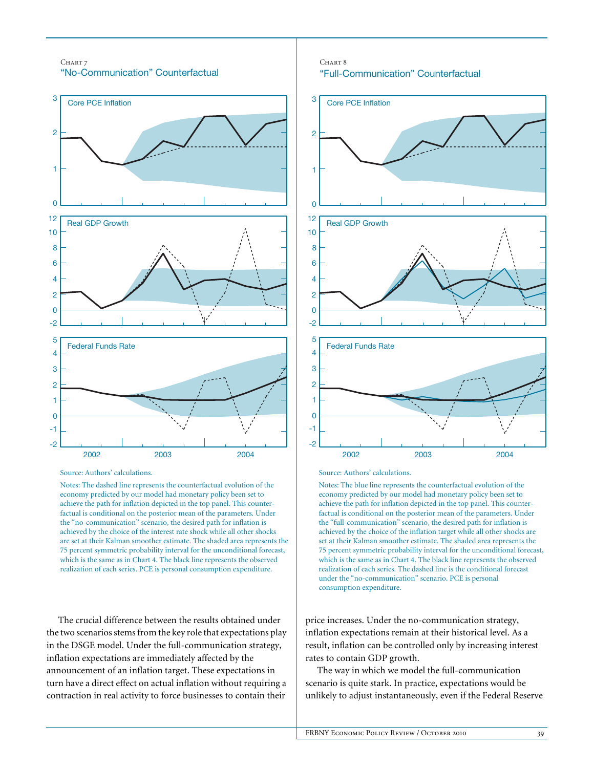#### Chart 7 "No-Communication" Counterfactual



Source: Authors' calculations.

Notes: The dashed line represents the counterfactual evolution of the economy predicted by our model had monetary policy been set to achieve the path for inflation depicted in the top panel. This counterfactual is conditional on the posterior mean of the parameters. Under the "no-communication" scenario, the desired path for inflation is achieved by the choice of the interest rate shock while all other shocks are set at their Kalman smoother estimate. The shaded area represents the 75 percent symmetric probability interval for the unconditional forecast, which is the same as in Chart 4. The black line represents the observed realization of each series. PCE is personal consumption expenditure.

The crucial difference between the results obtained under the two scenarios stems from the key role that expectations play in the DSGE model. Under the full-communication strategy, inflation expectations are immediately affected by the announcement of an inflation target. These expectations in turn have a direct effect on actual inflation without requiring a contraction in real activity to force businesses to contain their

#### CHART<sup>8</sup> "Full-Communication" Counterfactual



Source: Authors' calculations.

Notes: The blue line represents the counterfactual evolution of the economy predicted by our model had monetary policy been set to achieve the path for inflation depicted in the top panel. This counterfactual is conditional on the posterior mean of the parameters. Under the "full-communication" scenario, the desired path for inflation is achieved by the choice of the inflation target while all other shocks are set at their Kalman smoother estimate. The shaded area represents the 75 percent symmetric probability interval for the unconditional forecast, which is the same as in Chart 4. The black line represents the observed realization of each series. The dashed line is the conditional forecast under the "no-communication" scenario. PCE is personal consumption expenditure.

price increases. Under the no-communication strategy, inflation expectations remain at their historical level. As a result, inflation can be controlled only by increasing interest rates to contain GDP growth.

The way in which we model the full-communication scenario is quite stark. In practice, expectations would be unlikely to adjust instantaneously, even if the Federal Reserve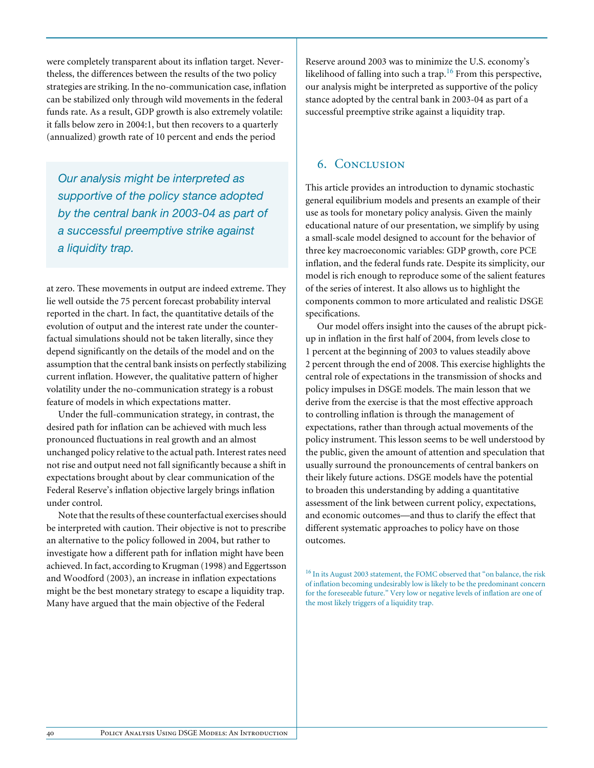were completely transparent about its inflation target. Nevertheless, the differences between the results of the two policy strategies are striking. In the no-communication case, inflation can be stabilized only through wild movements in the federal funds rate. As a result, GDP growth is also extremely volatile: it falls below zero in 2004:1, but then recovers to a quarterly (annualized) growth rate of 10 percent and ends the period

*Our analysis might be interpreted as supportive of the policy stance adopted by the central bank in 2003-04 as part of a successful preemptive strike against a liquidity trap.* 

at zero. These movements in output are indeed extreme. They lie well outside the 75 percent forecast probability interval reported in the chart. In fact, the quantitative details of the evolution of output and the interest rate under the counterfactual simulations should not be taken literally, since they depend significantly on the details of the model and on the assumption that the central bank insists on perfectly stabilizing current inflation. However, the qualitative pattern of higher volatility under the no-communication strategy is a robust feature of models in which expectations matter.

Under the full-communication strategy, in contrast, the desired path for inflation can be achieved with much less pronounced fluctuations in real growth and an almost unchanged policy relative to the actual path. Interest rates need not rise and output need not fall significantly because a shift in expectations brought about by clear communication of the Federal Reserve's inflation objective largely brings inflation under control.

Note that the results of these counterfactual exercises should be interpreted with caution. Their objective is not to prescribe an alternative to the policy followed in 2004, but rather to investigate how a different path for inflation might have been achieved. In fact, according to Krugman (1998) and Eggertsson and Woodford (2003), an increase in inflation expectations might be the best monetary strategy to escape a liquidity trap. Many have argued that the main objective of the Federal

Reserve around 2003 was to minimize the U.S. economy's likelihood of falling into such a trap.<sup>16</sup> From this perspective, our analysis might be interpreted as supportive of the policy stance adopted by the central bank in 2003-04 as part of a successful preemptive strike against a liquidity trap.

## 6. Conclusion

This article provides an introduction to dynamic stochastic general equilibrium models and presents an example of their use as tools for monetary policy analysis. Given the mainly educational nature of our presentation, we simplify by using a small-scale model designed to account for the behavior of three key macroeconomic variables: GDP growth, core PCE inflation, and the federal funds rate. Despite its simplicity, our model is rich enough to reproduce some of the salient features of the series of interest. It also allows us to highlight the components common to more articulated and realistic DSGE specifications.

Our model offers insight into the causes of the abrupt pickup in inflation in the first half of 2004, from levels close to 1 percent at the beginning of 2003 to values steadily above 2 percent through the end of 2008. This exercise highlights the central role of expectations in the transmission of shocks and policy impulses in DSGE models. The main lesson that we derive from the exercise is that the most effective approach to controlling inflation is through the management of expectations, rather than through actual movements of the policy instrument. This lesson seems to be well understood by the public, given the amount of attention and speculation that usually surround the pronouncements of central bankers on their likely future actions. DSGE models have the potential to broaden this understanding by adding a quantitative assessment of the link between current policy, expectations, and economic outcomes—and thus to clarify the effect that different systematic approaches to policy have on those outcomes.

 $^{16}$  In its August 2003 statement, the FOMC observed that "on balance, the risk of inflation becoming undesirably low is likely to be the predominant concern for the foreseeable future." Very low or negative levels of inflation are one of the most likely triggers of a liquidity trap.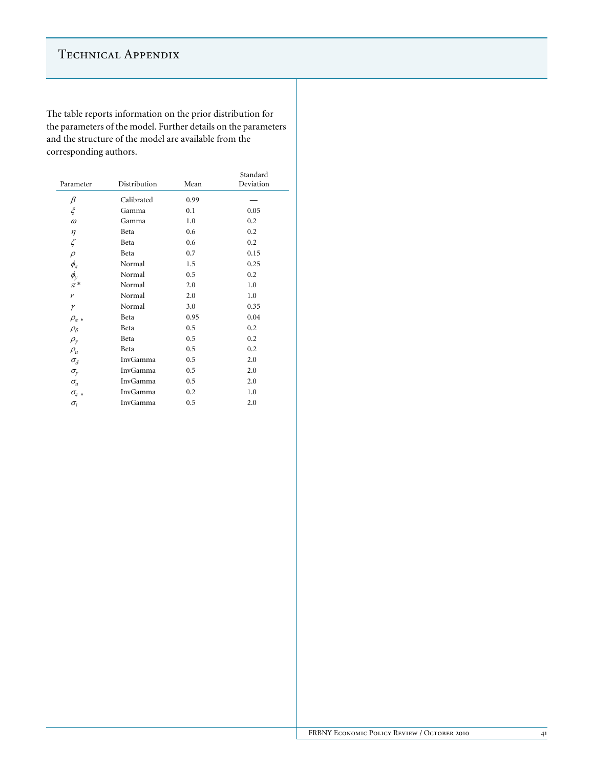# Technical Appendix

The table reports information on the prior distribution for the parameters of the model. Further details on the parameters and the structure of the model are available from the corresponding authors.

|                    |              |      | Standard  |
|--------------------|--------------|------|-----------|
| Parameter          | Distribution | Mean | Deviation |
| $_{\beta}$         | Calibrated   | 0.99 |           |
| ξ                  | Gamma        | 0.1  | 0.05      |
| $\omega$           | Gamma        | 1.0  | 0.2       |
| η                  | Beta         | 0.6  | 0.2       |
| $\zeta$            | Beta         | 0.6  | 0.2       |
| $\rho$             | Beta         | 0.7  | 0.15      |
| $\phi_{\pi}$       | Normal       | 1.5  | 0.25      |
| $\phi_y$           | Normal       | 0.5  | 0.2       |
| $\pi^*$            | Normal       | 2.0  | 1.0       |
| r                  | Normal       | 2.0  | 1.0       |
| γ                  | Normal       | 3.0  | 0.35      |
| $\rho_{\pi\,*}$    | Beta         | 0.95 | 0.04      |
| $\rho_{\delta}$    | Beta         | 0.5  | 0.2       |
| $\rho_{\gamma}$    | Beta         | 0.5  | 0.2       |
| $\rho_u$           | Beta         | 0.5  | 0.2       |
| $\sigma_{\delta}$  | InvGamma     | 0.5  | 2.0       |
| $\sigma_{\gamma}$  | InvGamma     | 0.5  | 2.0       |
| $\sigma_{\!u}$     | InvGamma     | 0.5  | 2.0       |
| $\sigma_{\!\pi}$ * | InvGamma     | 0.2  | 1.0       |
| $\sigma_i$         | InvGamma     | 0.5  | 2.0       |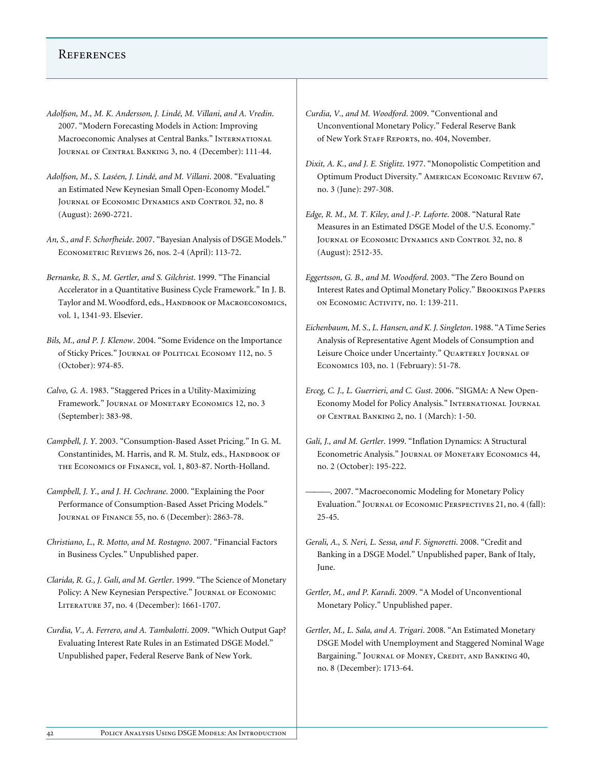## **REFERENCES**

- *Adolfson, M., M. K. Andersson, J. Lindé, M. Villani, and A. Vredin*. 2007. "Modern Forecasting Models in Action: Improving Macroeconomic Analyses at Central Banks." INTERNATIONAL Journal of Central Banking 3, no. 4 (December): 111-44.
- *Adolfson, M., S. Laséen, J. Lindé, and M. Villani*. 2008. "Evaluating an Estimated New Keynesian Small Open-Economy Model." Journal of Economic Dynamics and Control 32, no. 8 (August): 2690-2721.
- *An, S., and F. Schorfheide*. 2007. "Bayesian Analysis of DSGE Models." Econometric Reviews 26, nos. 2-4 (April): 113-72.
- *Bernanke, B. S., M. Gertler, and S. Gilchrist*. 1999. "The Financial Accelerator in a Quantitative Business Cycle Framework." In J. B. Taylor and M. Woodford, eds., HANDBOOK OF MACROECONOMICS, vol. 1, 1341-93. Elsevier.
- *Bils, M., and P. J. Klenow*. 2004. "Some Evidence on the Importance of Sticky Prices." Journal of Political Economy 112, no. 5 (October): 974-85.
- *Calvo, G. A*. 1983. "Staggered Prices in a Utility-Maximizing Framework." JOURNAL OF MONETARY ECONOMICS 12, no. 3 (September): 383-98.
- *Campbell, J. Y*. 2003. "Consumption-Based Asset Pricing." In G. M. Constantinides, M. Harris, and R. M. Stulz, eds., HANDBOOK OF the Economics of Finance, vol. 1, 803-87. North-Holland.
- *Campbell, J. Y., and J. H. Cochrane*. 2000. "Explaining the Poor Performance of Consumption-Based Asset Pricing Models." Journal of Finance 55, no. 6 (December): 2863-78.
- *Christiano, L., R. Motto, and M. Rostagno*. 2007. "Financial Factors in Business Cycles." Unpublished paper.
- *Clarida, R. G., J. Galí, and M. Gertler*. 1999. "The Science of Monetary Policy: A New Keynesian Perspective." JOURNAL OF ECONOMIC Literature 37, no. 4 (December): 1661-1707.
- *Curdia, V., A. Ferrero, and A. Tambalotti*. 2009. "Which Output Gap? Evaluating Interest Rate Rules in an Estimated DSGE Model." Unpublished paper, Federal Reserve Bank of New York.
- *Curdia, V., and M. Woodford*. 2009. "Conventional and Unconventional Monetary Policy." Federal Reserve Bank of New York STAFF REPORTS, no. 404, November.
- *Dixit, A. K., and J. E. Stiglitz*. 1977. "Monopolistic Competition and Optimum Product Diversity." American Economic Review 67, no. 3 (June): 297-308.
- *Edge, R. M., M. T. Kiley, and J.-P. Laforte*. 2008. "Natural Rate Measures in an Estimated DSGE Model of the U.S. Economy." Journal of Economic Dynamics and Control 32, no. 8 (August): 2512-35.
- *Eggertsson, G. B., and M. Woodford*. 2003. "The Zero Bound on Interest Rates and Optimal Monetary Policy." Brookings Papers on Economic Activity, no. 1: 139-211.
- *Eichenbaum, M. S., L. Hansen, and K. J. Singleton*. 1988. "A Time Series Analysis of Representative Agent Models of Consumption and Leisure Choice under Uncertainty." QUARTERLY JOURNAL OF Economics 103, no. 1 (February): 51-78.
- *Erceg, C. J., L. Guerrieri, and C. Gust*. 2006. "SIGMA: A New Open-Economy Model for Policy Analysis." International Journal of Central Banking 2, no. 1 (March): 1-50.
- *Galí, J., and M. Gertler*. 1999. "Inflation Dynamics: A Structural Econometric Analysis." JOURNAL OF MONETARY ECONOMICS 44, no. 2 (October): 195-222.
	- -. 2007. "Macroeconomic Modeling for Monetary Policy Evaluation." Journal of Economic Perspectives 21, no. 4 (fall): 25-45.
- *Gerali, A., S. Neri, L. Sessa, and F. Signoretti*. 2008. "Credit and Banking in a DSGE Model." Unpublished paper, Bank of Italy, June.
- *Gertler, M., and P. Karadi*. 2009. "A Model of Unconventional Monetary Policy." Unpublished paper.
- *Gertler, M., L. Sala, and A. Trigari*. 2008. "An Estimated Monetary DSGE Model with Unemployment and Staggered Nominal Wage Bargaining." JOURNAL OF MONEY, CREDIT, AND BANKING 40, no. 8 (December): 1713-64.